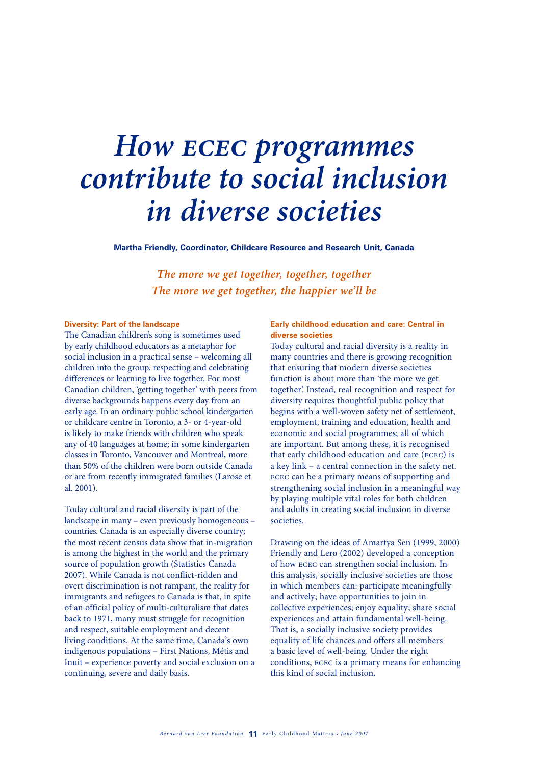# *How ecec programmes contribute to social inclusion in diverse societies*

**Martha Friendly, Coordinator, Childcare Resource and Research Unit, Canada**

*The more we get together, together, together The more we get together, the happier we'll be*

### **Diversity: Part of the landscape**

The Canadian children's song is sometimes used by early childhood educators as a metaphor for social inclusion in a practical sense – welcoming all children into the group, respecting and celebrating differences or learning to live together. For most Canadian children, 'getting together' with peers from diverse backgrounds happens every day from an early age. In an ordinary public school kindergarten or childcare centre in Toronto, a 3- or 4-year-old is likely to make friends with children who speak any of 40 languages at home; in some kindergarten classes in Toronto, Vancouver and Montreal, more than 50% of the children were born outside Canada or are from recently immigrated families (Larose et al. 2001).

Today cultural and racial diversity is part of the landscape in many – even previously homogeneous – countries. Canada is an especially diverse country; the most recent census data show that in-migration is among the highest in the world and the primary source of population growth (Statistics Canada 2007). While Canada is not conflict-ridden and overt discrimination is not rampant, the reality for immigrants and refugees to Canada is that, in spite of an official policy of multi-culturalism that dates back to 1971, many must struggle for recognition and respect, suitable employment and decent living conditions. At the same time, Canada's own indigenous populations – First Nations, Métis and Inuit – experience poverty and social exclusion on a continuing, severe and daily basis.

## **Early childhood education and care: Central in diverse societies**

Today cultural and racial diversity is a reality in many countries and there is growing recognition that ensuring that modern diverse societies function is about more than 'the more we get together'. Instead, real recognition and respect for diversity requires thoughtful public policy that begins with a well-woven safety net of settlement, employment, training and education, health and economic and social programmes; all of which are important. But among these, it is recognised that early childhood education and care (ecec) is a key link – a central connection in the safety net. ecec can be a primary means of supporting and strengthening social inclusion in a meaningful way by playing multiple vital roles for both children and adults in creating social inclusion in diverse societies.

Drawing on the ideas of Amartya Sen (1999, 2000) Friendly and Lero (2002) developed a conception of how ecec can strengthen social inclusion. In this analysis, socially inclusive societies are those in which members can: participate meaningfully and actively; have opportunities to join in collective experiences; enjoy equality; share social experiences and attain fundamental well-being. That is, a socially inclusive society provides equality of life chances and offers all members a basic level of well-being. Under the right conditions, ecec is a primary means for enhancing this kind of social inclusion.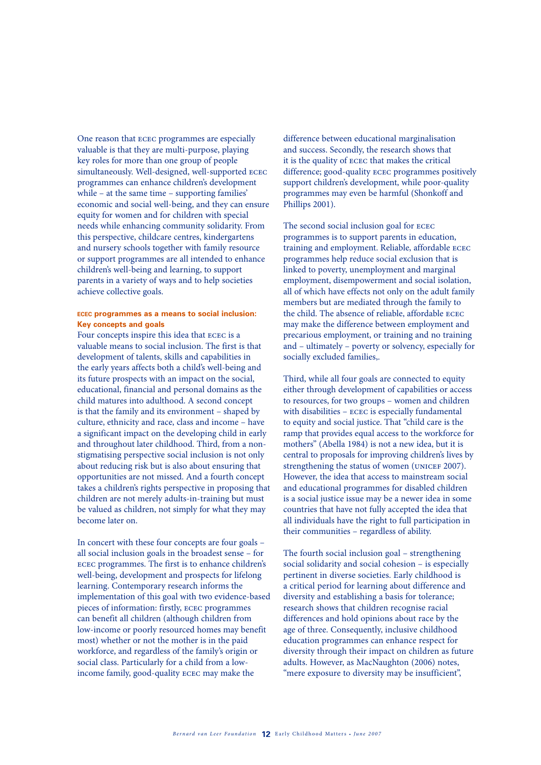One reason that ecec programmes are especially valuable is that they are multi-purpose, playing key roles for more than one group of people simultaneously. Well-designed, well-supported ecec programmes can enhance children's development while – at the same time – supporting families' economic and social well-being, and they can ensure equity for women and for children with special needs while enhancing community solidarity. From this perspective, childcare centres, kindergartens and nursery schools together with family resource or support programmes are all intended to enhance children's well-being and learning, to support parents in a variety of ways and to help societies achieve collective goals.

## **ecec programmes as a means to social inclusion: Key concepts and goals**

Four concepts inspire this idea that ecec is a valuable means to social inclusion. The first is that development of talents, skills and capabilities in the early years affects both a child's well-being and its future prospects with an impact on the social, educational, financial and personal domains as the child matures into adulthood. A second concept is that the family and its environment – shaped by culture, ethnicity and race, class and income – have a significant impact on the developing child in early and throughout later childhood. Third, from a nonstigmatising perspective social inclusion is not only about reducing risk but is also about ensuring that opportunities are not missed. And a fourth concept takes a children's rights perspective in proposing that children are not merely adults-in-training but must be valued as children, not simply for what they may become later on.

In concert with these four concepts are four goals – all social inclusion goals in the broadest sense – for ecec programmes. The first is to enhance children's well-being, development and prospects for lifelong learning. Contemporary research informs the implementation of this goal with two evidence-based pieces of information: firstly, ecec programmes can benefit all children (although children from low-income or poorly resourced homes may benefit most) whether or not the mother is in the paid workforce, and regardless of the family's origin or social class. Particularly for a child from a lowincome family, good-quality ecec may make the

difference between educational marginalisation and success. Secondly, the research shows that it is the quality of ecec that makes the critical difference; good-quality ecec programmes positively support children's development, while poor-quality programmes may even be harmful (Shonkoff and Phillips 2001).

The second social inclusion goal for ecec programmes is to support parents in education, training and employment. Reliable, affordable ecec programmes help reduce social exclusion that is linked to poverty, unemployment and marginal employment, disempowerment and social isolation, all of which have effects not only on the adult family members but are mediated through the family to the child. The absence of reliable, affordable ecec may make the difference between employment and precarious employment, or training and no training and – ultimately – poverty or solvency, especially for socially excluded families,.

Third, while all four goals are connected to equity either through development of capabilities or access to resources, for two groups – women and children with disabilities - ECEC is especially fundamental to equity and social justice. That "child care is the ramp that provides equal access to the workforce for mothers" (Abella 1984) is not a new idea, but it is central to proposals for improving children's lives by strengthening the status of women (UNICEF  $2007$ ). However, the idea that access to mainstream social and educational programmes for disabled children is a social justice issue may be a newer idea in some countries that have not fully accepted the idea that all individuals have the right to full participation in their communities – regardless of ability.

The fourth social inclusion goal – strengthening social solidarity and social cohesion – is especially pertinent in diverse societies. Early childhood is a critical period for learning about difference and diversity and establishing a basis for tolerance; research shows that children recognise racial differences and hold opinions about race by the age of three. Consequently, inclusive childhood education programmes can enhance respect for diversity through their impact on children as future adults. However, as MacNaughton (2006) notes, "mere exposure to diversity may be insufficient",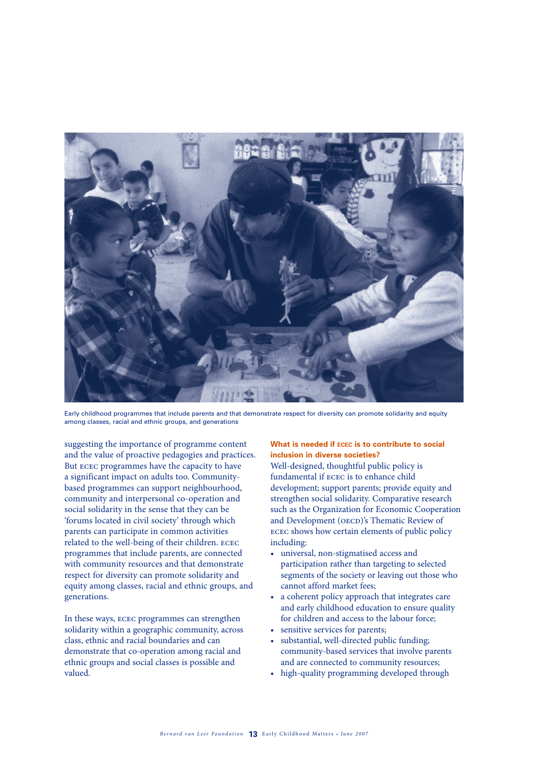

Early childhood programmes that include parents and that demonstrate respect for diversity can promote solidarity and equity among classes, racial and ethnic groups, and generations

suggesting the importance of programme content and the value of proactive pedagogies and practices. But ecec programmes have the capacity to have a significant impact on adults too. Communitybased programmes can support neighbourhood, community and interpersonal co-operation and social solidarity in the sense that they can be 'forums located in civil society' through which parents can participate in common activities related to the well-being of their children. ecec programmes that include parents, are connected with community resources and that demonstrate respect for diversity can promote solidarity and equity among classes, racial and ethnic groups, and generations.

In these ways, ecec programmes can strengthen solidarity within a geographic community, across class, ethnic and racial boundaries and can demonstrate that co-operation among racial and ethnic groups and social classes is possible and valued.

# **What is needed if ecec is to contribute to social inclusion in diverse societies?**

Well-designed, thoughtful public policy is fundamental if ecec is to enhance child development; support parents; provide equity and strengthen social solidarity. Comparative research such as the Organization for Economic Cooperation and Development (OECD)'s Thematic Review of ecec shows how certain elements of public policy including:

- universal, non-stigmatised access and participation rather than targeting to selected segments of the society or leaving out those who cannot afford market fees;
- a coherent policy approach that integrates care and early childhood education to ensure quality for children and access to the labour force;
- sensitive services for parents;
- substantial, well-directed public funding; community-based services that involve parents and are connected to community resources;
- high-quality programming developed through